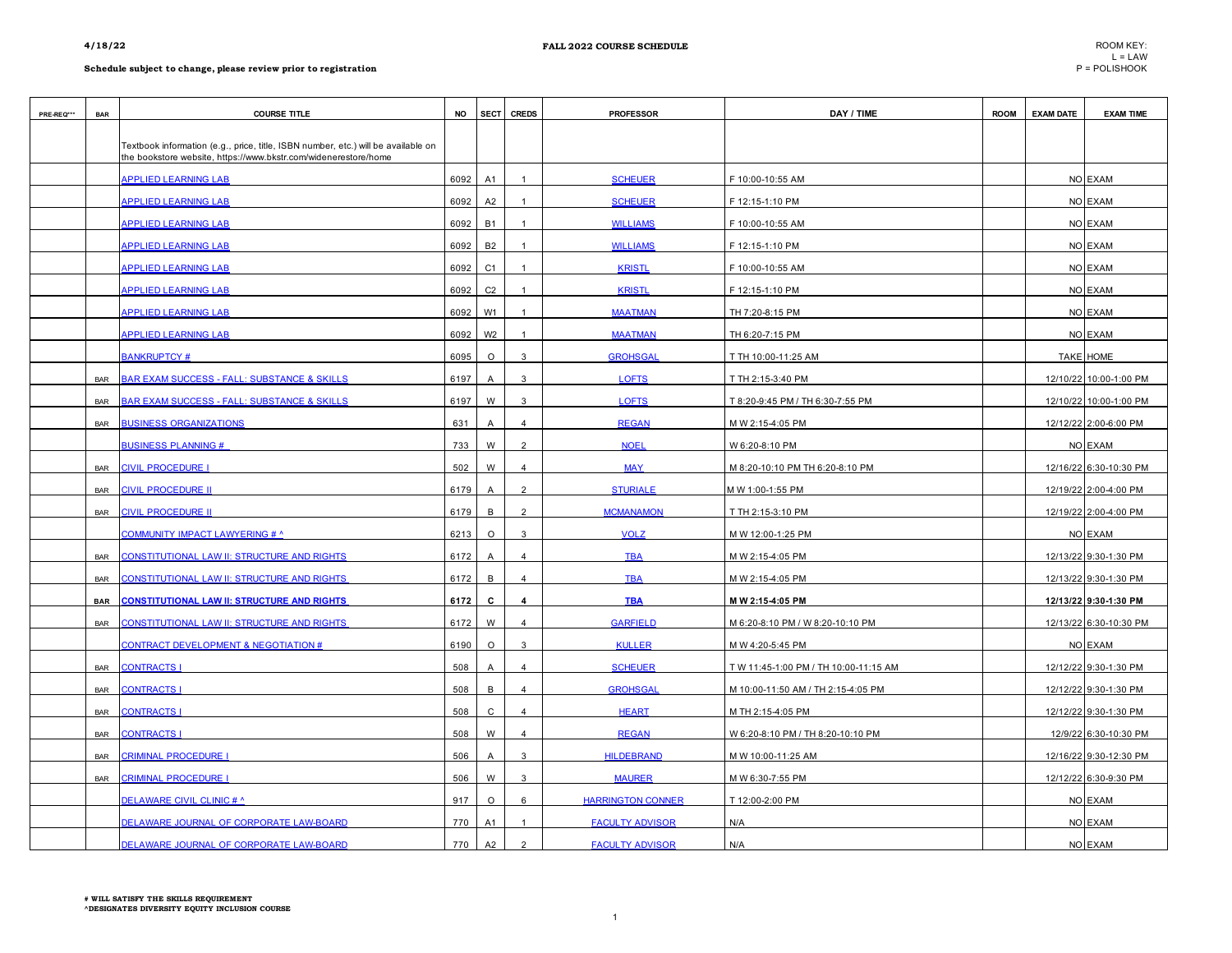| PRE-REQ*** | <b>BAR</b> | <b>COURSE TITLE</b>                                                                                                                                  | <b>NO</b> | <b>SECT</b>    | <b>CREDS</b>   | <b>PROFESSOR</b>         | DAY / TIME                            | <b>ROOM</b> | <b>EXAM DATE</b> | <b>EXAM TIME</b>       |
|------------|------------|------------------------------------------------------------------------------------------------------------------------------------------------------|-----------|----------------|----------------|--------------------------|---------------------------------------|-------------|------------------|------------------------|
|            |            | Textbook information (e.g., price, title, ISBN number, etc.) will be available on<br>the bookstore website, https://www.bkstr.com/widenerestore/home |           |                |                |                          |                                       |             |                  |                        |
|            |            | <b>APPLIED LEARNING LAB</b>                                                                                                                          | 6092      | A1             | $\mathbf{1}$   | <b>SCHEUER</b>           | F 10:00-10:55 AM                      |             |                  | NO EXAM                |
|            |            | <b>APPLIED LEARNING LAB</b>                                                                                                                          | 6092      | A <sub>2</sub> |                | <b>SCHEUER</b>           | F 12:15-1:10 PM                       |             |                  | NO EXAM                |
|            |            | <b>APPLIED LEARNING LAB</b>                                                                                                                          | 6092      | <b>B1</b>      | $\overline{1}$ | <b>WILLIAMS</b>          | F 10:00-10:55 AM                      |             |                  | NO EXAM                |
|            |            | <b>APPLIED LEARNING LAB</b>                                                                                                                          | 6092      | <b>B2</b>      |                | <b>WILLIAMS</b>          | F 12:15-1:10 PM                       |             |                  | NO EXAM                |
|            |            | <b>APPLIED LEARNING LAB</b>                                                                                                                          | 6092      | C1             | $\overline{1}$ | <b>KRISTL</b>            | F 10:00-10:55 AM                      |             |                  | NO EXAM                |
|            |            | <b>APPLIED LEARNING LAB</b>                                                                                                                          | 6092      | C <sub>2</sub> | $\overline{1}$ | <b>KRISTL</b>            | F 12:15-1:10 PM                       |             |                  | NO EXAM                |
|            |            | <b>APPLIED LEARNING LAB</b>                                                                                                                          | 6092      | W <sub>1</sub> |                | <b>MAATMAN</b>           | TH 7:20-8:15 PM                       |             |                  | NO EXAM                |
|            |            | <b>APPLIED LEARNING LAB</b>                                                                                                                          | 6092      | W <sub>2</sub> | $\overline{1}$ | <b>MAATMAN</b>           | TH 6:20-7:15 PM                       |             |                  | NO EXAM                |
|            |            | <b>BANKRUPTCY#</b>                                                                                                                                   | 6095      | $\circ$        | 3              | <b>GROHSGAL</b>          | T TH 10:00-11:25 AM                   |             |                  | TAKE HOME              |
|            | <b>BAR</b> | <b>BAR EXAM SUCCESS - FALL: SUBSTANCE &amp; SKILLS</b>                                                                                               | 6197      | Α              | 3              | <b>LOFTS</b>             | T TH 2:15-3:40 PM                     |             |                  | 12/10/22 10:00-1:00 PM |
|            | <b>BAR</b> | BAR EXAM SUCCESS - FALL: SUBSTANCE & SKILLS                                                                                                          | 6197      | W              | 3              | <b>LOFTS</b>             | T 8:20-9:45 PM / TH 6:30-7:55 PM      |             |                  | 12/10/22 10:00-1:00 PM |
|            | <b>BAR</b> | <b>BUSINESS ORGANIZATIONS</b>                                                                                                                        | 631       | $\overline{A}$ | $\overline{4}$ | <b>REGAN</b>             | M W 2:15-4:05 PM                      |             |                  | 12/12/22 2:00-6:00 PM  |
|            |            | <b>BUSINESS PLANNING#</b>                                                                                                                            | 733       | W              | $\overline{2}$ | <b>NOEL</b>              | W 6:20-8:10 PM                        |             |                  | NO EXAM                |
|            | <b>BAR</b> | CIVIL PROCEDURE                                                                                                                                      | 502       | W              | $\overline{4}$ | <b>MAY</b>               | M 8:20-10:10 PM TH 6:20-8:10 PM       |             |                  | 12/16/22 6:30-10:30 PM |
|            | <b>BAR</b> | CIVIL PROCEDURE II                                                                                                                                   | 6179      | Α              | $\overline{2}$ | <b>STURIALE</b>          | M W 1:00-1:55 PM                      |             |                  | 12/19/22 2:00-4:00 PM  |
|            | <b>BAR</b> | <b>CIVIL PROCEDURE II</b>                                                                                                                            | 6179      | $\,$ B         | $\overline{2}$ | <b>MCMANAMON</b>         | T TH 2:15-3:10 PM                     |             |                  | 12/19/22 2:00-4:00 PM  |
|            |            | COMMUNITY IMPACT LAWYERING # ^                                                                                                                       | 6213      | $\circ$        | 3              | <b>VOLZ</b>              | M W 12:00-1:25 PM                     |             |                  | NO EXAM                |
|            | <b>BAR</b> | <b>CONSTITUTIONAL LAW II: STRUCTURE AND RIGHTS</b>                                                                                                   | 6172      | A              | $\overline{4}$ | <b>TBA</b>               | M W 2:15-4:05 PM                      |             |                  | 12/13/22 9:30-1:30 PM  |
|            | <b>BAR</b> | CONSTITUTIONAL LAW II: STRUCTURE AND RIGHTS                                                                                                          | 6172      | B              | $\overline{4}$ | <b>TBA</b>               | M W 2:15-4:05 PM                      |             |                  | 12/13/22 9:30-1:30 PM  |
|            | <b>BAR</b> | <u>CONSTITUTIONAL LAW II: STRUCTURE AND RIGHTS</u>                                                                                                   | 6172      | C              | 4              | <b>TBA</b>               | M W 2:15 4:05 PM                      |             |                  | 12/13/22 9:30-1:30 PM  |
|            | <b>BAR</b> | <b>CONSTITUTIONAL LAW II: STRUCTURE AND RIGHTS</b>                                                                                                   | 6172      | W              | $\overline{4}$ | <b>GARFIELD</b>          | M 6:20-8:10 PM / W 8:20-10:10 PM      |             |                  | 12/13/22 6:30-10:30 PM |
|            |            | <b>CONTRACT DEVELOPMENT &amp; NEGOTIATION #</b>                                                                                                      | 6190      | $\circ$        | 3              | <b>KULLER</b>            | M W 4:20-5:45 PM                      |             |                  | NO EXAM                |
|            | <b>BAR</b> | <b>CONTRACTS</b>                                                                                                                                     | 508       | Α              | $\overline{4}$ | <b>SCHEUER</b>           | T W 11:45-1:00 PM / TH 10:00-11:15 AM |             |                  | 12/12/22 9:30-1:30 PM  |
|            | <b>BAR</b> | <b>CONTRACTS I</b>                                                                                                                                   | 508       | B              | $\overline{4}$ | <b>GROHSGAL</b>          | M 10:00-11:50 AM / TH 2:15-4:05 PM    |             |                  | 12/12/22 9:30-1:30 PM  |
|            | <b>BAR</b> | <b>CONTRACTS I</b>                                                                                                                                   | 508       | $\mathtt{C}$   | $\overline{4}$ | <b>HEART</b>             | M TH 2:15-4:05 PM                     |             |                  | 12/12/22 9:30-1:30 PM  |
|            | <b>BAR</b> | <b>CONTRACTS</b>                                                                                                                                     | 508       | W              | $\overline{4}$ | <b>REGAN</b>             | W 6:20-8:10 PM / TH 8:20-10:10 PM     |             |                  | 12/9/22 6:30-10:30 PM  |
|            | <b>BAR</b> | <b>CRIMINAL PROCEDURE</b>                                                                                                                            | 506       | $\overline{A}$ | 3              | <b>HILDEBRAND</b>        | M W 10:00-11:25 AM                    |             |                  | 12/16/22 9:30-12:30 PM |
|            | <b>BAR</b> | CRIMINAL PROCEDURE I                                                                                                                                 | 506       | W              | 3              | <b>MAURER</b>            | M W 6:30-7:55 PM                      |             |                  | 12/12/22 6:30-9:30 PM  |
|            |            | <b>DELAWARE CIVIL CLINIC # ^</b>                                                                                                                     | 917       | $\circ$        | 6              | <b>HARRINGTON CONNER</b> | T 12:00-2:00 PM                       |             |                  | NO EXAM                |
|            |            | DELAWARE JOURNAL OF CORPORATE LAW-BOARD                                                                                                              | 770       | A1             | $\mathbf{1}$   | <b>FACULTY ADVISOR</b>   | N/A                                   |             |                  | NO EXAM                |
|            |            | DELAWARE JOURNAL OF CORPORATE LAW-BOARD                                                                                                              | 770       | A2             | $\overline{2}$ | <b>FACULTY ADVISOR</b>   | N/A                                   |             |                  | NO EXAM                |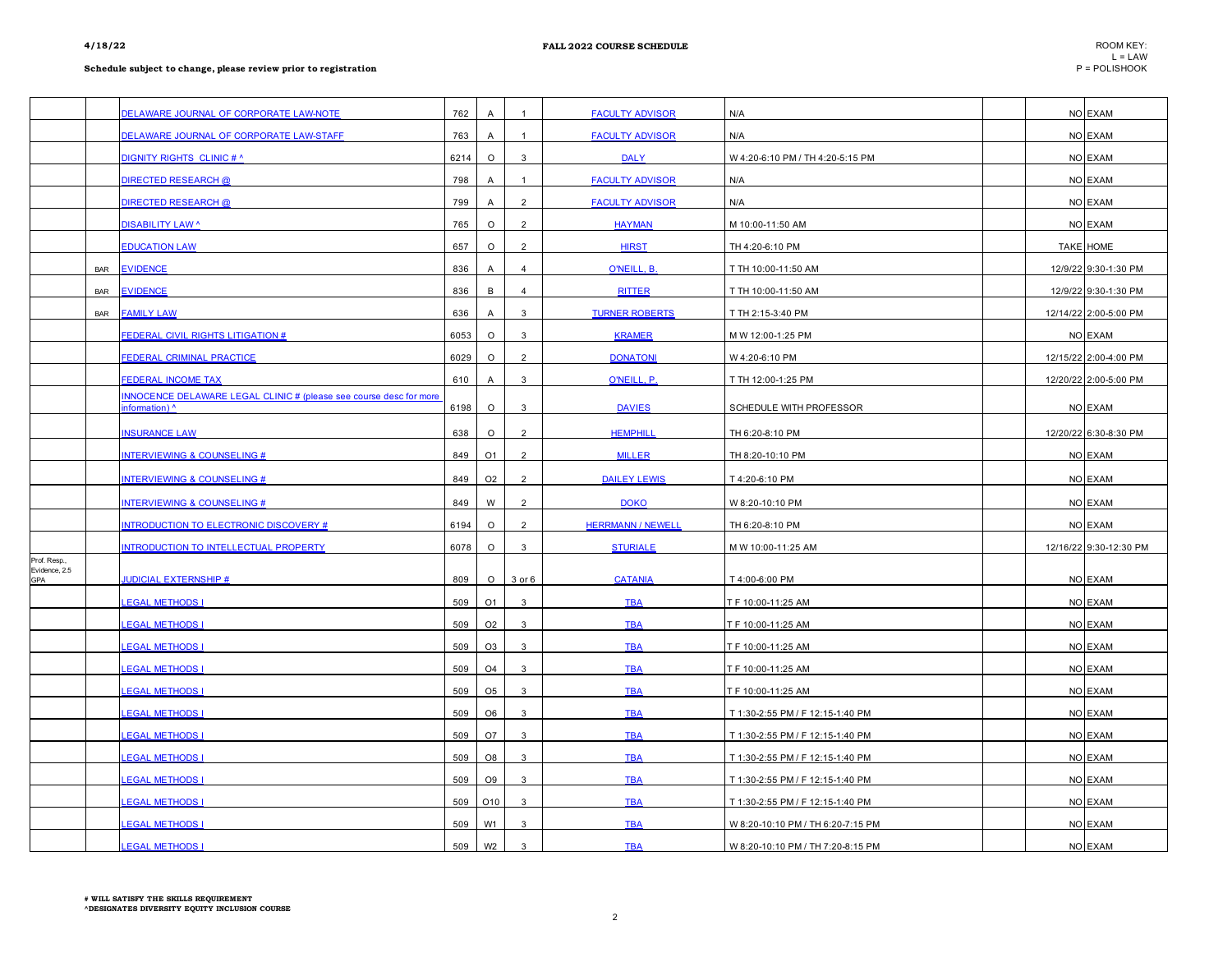|                               |            | DELAWARE JOURNAL OF CORPORATE LAW-NOTE                                               | 762  | $\overline{A}$ |                | <b>FACULTY ADVISOR</b>   | N/A                               | NO EXAM                |
|-------------------------------|------------|--------------------------------------------------------------------------------------|------|----------------|----------------|--------------------------|-----------------------------------|------------------------|
|                               |            | DELAWARE JOURNAL OF CORPORATE LAW-STAFF                                              | 763  | A              | $\overline{1}$ | <b>FACULTY ADVISOR</b>   | N/A                               | NO EXAM                |
|                               |            | DIGNITY RIGHTS CLINIC # ^                                                            | 6214 | $\circ$        | 3              | <b>DALY</b>              | W 4:20-6:10 PM / TH 4:20-5:15 PM  | NO EXAM                |
|                               |            | <b>DIRECTED RESEARCH @</b>                                                           | 798  | $\overline{A}$ | $\overline{1}$ | <b>FACULTY ADVISOR</b>   | N/A                               | NO EXAM                |
|                               |            | <b>DIRECTED RESEARCH @</b>                                                           | 799  | $\overline{A}$ | $\overline{2}$ | <b>FACULTY ADVISOR</b>   | N/A                               | NO EXAM                |
|                               |            | <b>DISABILITY LAW ^</b>                                                              | 765  | $\circ$        | $\overline{2}$ | <b>HAYMAN</b>            | M 10:00-11:50 AM                  | NO EXAM                |
|                               |            | <b>EDUCATION LAW</b>                                                                 | 657  | $\circ$        | $\overline{2}$ | <b>HIRST</b>             | TH 4:20-6:10 PM                   | TAKE HOME              |
|                               | <b>BAR</b> | <b>EVIDENCE</b>                                                                      | 836  | $\overline{A}$ | $\overline{4}$ | O'NEILL, B.              | T TH 10:00-11:50 AM               | 12/9/22 9:30-1:30 PM   |
|                               | <b>BAR</b> | <b>EVIDENCE</b>                                                                      | 836  | B              | $\overline{4}$ | <b>RITTER</b>            | T TH 10:00-11:50 AM               | 12/9/22 9:30-1:30 PM   |
|                               | <b>BAR</b> | <b>FAMILY LAW</b>                                                                    | 636  | A              | 3              | <b>TURNER ROBERTS</b>    | T TH 2:15-3:40 PM                 | 12/14/22 2:00-5:00 PM  |
|                               |            | <b>FEDERAL CIVIL RIGHTS LITIGATION #</b>                                             | 6053 | $\circ$        | 3              | <b>KRAMER</b>            | M W 12:00-1:25 PM                 | NO EXAM                |
|                               |            | <b>FEDERAL CRIMINAL PRACTICE</b>                                                     | 6029 | $\circ$        | $\overline{2}$ | <b>DONATONI</b>          | W 4:20-6:10 PM                    | 12/15/22 2:00-4:00 PM  |
|                               |            | <b>FEDERAL INCOME TAX</b>                                                            | 610  | $\overline{A}$ | 3              | O'NEILL, P.              | T TH 12:00-1:25 PM                | 12/20/22 2:00-5:00 PM  |
|                               |            | INNOCENCE DELAWARE LEGAL CLINIC # (please see course desc for more<br>information) ^ | 6198 | $\circ$        | 3              | <b>DAVIES</b>            | SCHEDULE WITH PROFESSOR           | NO EXAM                |
|                               |            | <b>INSURANCE LAW</b>                                                                 | 638  | $\circ$        | $\overline{2}$ | <b>HEMPHILI</b>          | TH 6:20-8:10 PM                   | 12/20/22 6:30-8:30 PM  |
|                               |            | <b>NTERVIEWING &amp; COUNSELING #</b>                                                | 849  | O <sub>1</sub> | $\overline{2}$ | <b>MILLER</b>            | TH 8:20-10:10 PM                  | NO EXAM                |
|                               |            | <b>INTERVIEWING &amp; COUNSELING #</b>                                               | 849  | O <sub>2</sub> | $\overline{2}$ | <b>DAILEY LEWIS</b>      | T 4:20-6:10 PM                    | NO EXAM                |
|                               |            | <b>INTERVIEWING &amp; COUNSELING #</b>                                               | 849  | W              | $\overline{2}$ | <b>DOKO</b>              | W 8:20-10:10 PM                   | NO EXAM                |
|                               |            | <b>INTRODUCTION TO ELECTRONIC DISCOVERY #</b>                                        | 6194 | $\circ$        | $\overline{2}$ | <b>HERRMANN / NEWELL</b> | TH 6:20-8:10 PM                   | NO EXAM                |
|                               |            | INTRODUCTION TO INTELLECTUAL PROPERTY                                                | 6078 | $\circ$        | $\mathbf{3}$   | <b>STURIALE</b>          | M W 10:00-11:25 AM                | 12/16/22 9:30-12:30 PM |
| Prof. Resp.,<br>Evidence, 2.5 |            |                                                                                      |      |                |                |                          |                                   |                        |
| <b>GPA</b>                    |            | <b>JUDICIAL EXTERNSHIP #</b>                                                         | 809  | $\circ$        | $3$ or $6$     | <b>CATANIA</b>           | T 4:00-6:00 PM                    | NO EXAM                |
|                               |            | <u>LEGAL METHODS I</u>                                                               | 509  | O1             | 3              | <b>TBA</b>               | T F 10:00-11:25 AM                | NO EXAM                |
|                               |            | <u>EGAL METHODS I</u>                                                                | 509  | O <sub>2</sub> | $\mathbf{3}$   | <b>TBA</b>               | T F 10:00-11:25 AM                | NO EXAM                |
|                               |            | <b>LEGAL METHODS I</b>                                                               | 509  | O <sub>3</sub> | 3              | <b>TBA</b>               | T F 10:00-11:25 AM                | NO EXAM                |
|                               |            | <b>EGAL METHODS I</b>                                                                | 509  | O <sub>4</sub> | 3              | <b>TBA</b>               | T F 10:00-11:25 AM                | NO EXAM                |
|                               |            | <b>EGAL METHODS I</b>                                                                | 509  | O <sub>5</sub> | 3              | <b>TBA</b>               | T F 10:00-11:25 AM                | NO EXAM                |
|                               |            | <b>EGAL METHODS I</b>                                                                | 509  | O <sub>6</sub> | 3              | <b>TBA</b>               | T 1:30-2:55 PM / F 12:15-1:40 PM  | NO EXAM                |
|                               |            | <b>EGAL METHODS I</b>                                                                | 509  | O7             | 3              | <b>TBA</b>               | T 1:30-2:55 PM / F 12:15-1:40 PM  | NO EXAM                |
|                               |            | <b>EGAL METHODS I</b>                                                                | 509  | O8             | 3              | <b>TBA</b>               | T 1:30-2:55 PM / F 12:15-1:40 PM  | NO EXAM                |
|                               |            | <b>EGAL METHODS I</b>                                                                | 509  | O <sub>9</sub> | 3              | <b>TBA</b>               | T 1:30-2:55 PM / F 12:15-1:40 PM  | NO EXAM                |
|                               |            | <b>EGAL METHODS I</b>                                                                | 509  | O10            | 3              | <b>TBA</b>               | T 1:30-2:55 PM / F 12:15-1:40 PM  | NO EXAM                |
|                               |            | <b>LEGAL METHODS I</b>                                                               | 509  | W1             | 3              | <b>TBA</b>               | W 8:20-10:10 PM / TH 6:20-7:15 PM | NO EXAM                |
|                               |            | <b>EGAL METHODS</b>                                                                  | 509  | W <sub>2</sub> | 3              | <b>TBA</b>               | W 8:20-10:10 PM / TH 7:20-8:15 PM | NO EXAM                |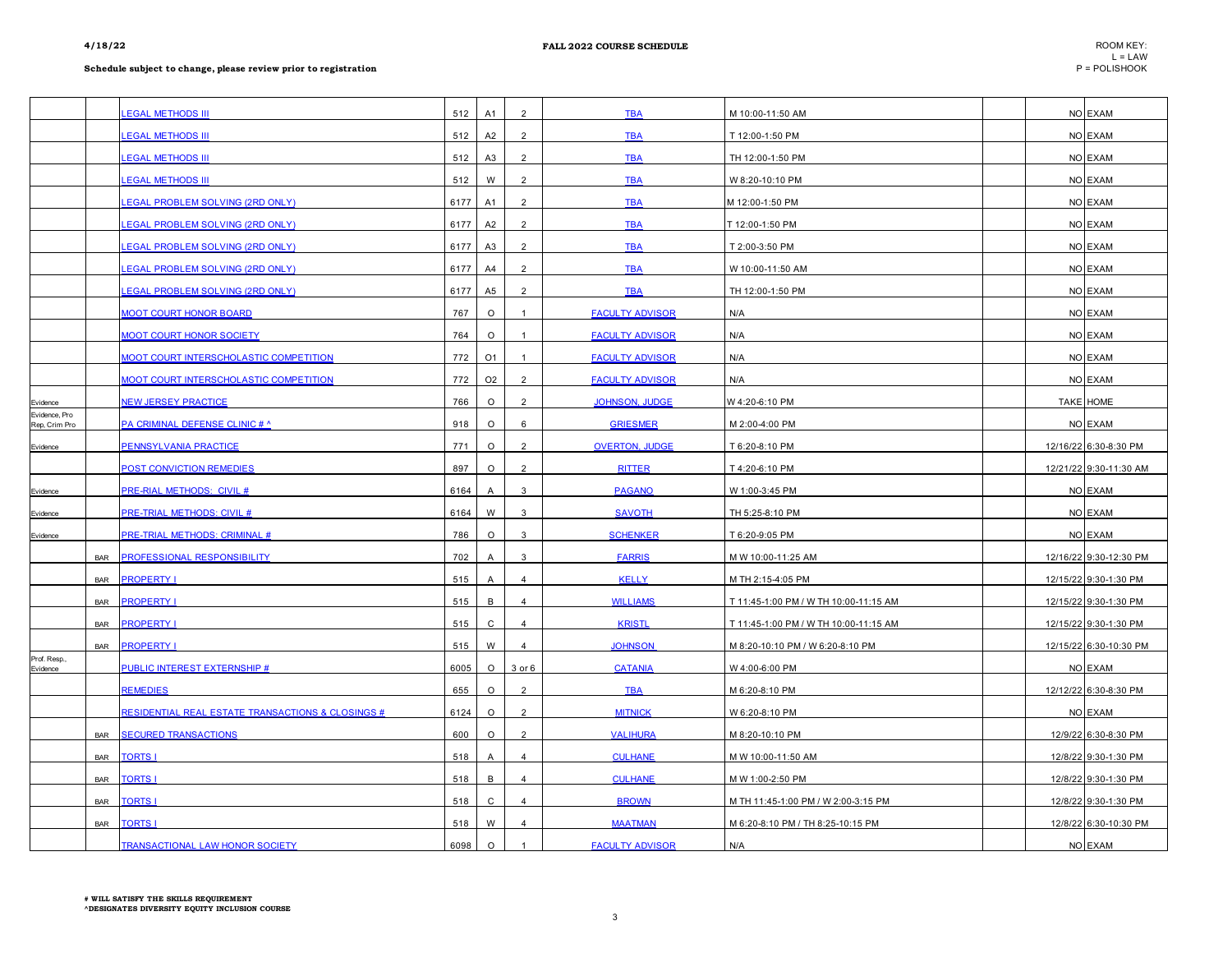|                                |            | <b>EGAL METHODS III</b>                                      | 512  | A1             | $\overline{2}$ | <b>TBA</b>             | M 10:00-11:50 AM                      |  | NO EXAM                |
|--------------------------------|------------|--------------------------------------------------------------|------|----------------|----------------|------------------------|---------------------------------------|--|------------------------|
|                                |            | <b>EGAL METHODS III</b>                                      | 512  | A2             | $\overline{2}$ | <b>TBA</b>             | T 12:00-1:50 PM                       |  | NO EXAM                |
|                                |            | <b>EGAL METHODS III</b>                                      | 512  | A3             | $\overline{2}$ | <b>TBA</b>             | TH 12:00-1:50 PM                      |  | NO EXAM                |
|                                |            | <b>EGAL METHODS III</b>                                      | 512  | W              | $\overline{2}$ | <b>TBA</b>             | W 8:20-10:10 PM                       |  | NO EXAM                |
|                                |            | <b>EGAL PROBLEM SOLVING (2RD ONLY)</b>                       | 6177 | A1             | $\overline{2}$ | <b>TBA</b>             | M 12:00-1:50 PM                       |  | NO EXAM                |
|                                |            | <b>EGAL PROBLEM SOLVING (2RD ONLY)</b>                       | 6177 | A2             | $\overline{2}$ | <b>TBA</b>             | T 12:00-1:50 PM                       |  | NO EXAM                |
|                                |            | <b>EGAL PROBLEM SOLVING (2RD ONLY)</b>                       | 6177 | A3             | $\overline{2}$ | <b>TBA</b>             | T 2:00-3:50 PM                        |  | NO EXAM                |
|                                |            | <b>EGAL PROBLEM SOLVING (2RD ONLY)</b>                       | 6177 | A4             | $\overline{2}$ | <b>TBA</b>             | W 10:00-11:50 AM                      |  | NO EXAM                |
|                                |            | <b>EGAL PROBLEM SOLVING (2RD ONLY)</b>                       | 6177 | A <sub>5</sub> | 2              | <b>TBA</b>             | TH 12:00-1:50 PM                      |  | NO EXAM                |
|                                |            | <b>MOOT COURT HONOR BOARD</b>                                | 767  | $\circ$        | $\overline{1}$ | <b>FACULTY ADVISOR</b> | N/A                                   |  | NO EXAM                |
|                                |            | <b>MOOT COURT HONOR SOCIETY</b>                              | 764  | $\circ$        | $\overline{1}$ | <b>FACULTY ADVISOR</b> | N/A                                   |  | NO EXAM                |
|                                |            | <b>MOOT COURT INTERSCHOLASTIC COMPETITION</b>                | 772  | O <sub>1</sub> | $\overline{1}$ | <b>FACULTY ADVISOR</b> | N/A                                   |  | NO EXAM                |
|                                |            | <b>MOOT COURT INTERSCHOLASTIC COMPETITION</b>                | 772  | O <sub>2</sub> | $\overline{2}$ | <b>FACULTY ADVISOR</b> | N/A                                   |  | NO EXAM                |
| Evidence                       |            | <b>NEW JERSEY PRACTICE</b>                                   | 766  | $\circ$        | 2              | <b>JOHNSON, JUDGE</b>  | W 4:20-6:10 PM                        |  | <b>TAKE HOME</b>       |
| Evidence, Pro<br>Rep, Crim Pro |            | PA CRIMINAL DEFENSE CLINIC # ^                               | 918  | $\circ$        | 6              | <b>GRIESMER</b>        | M 2:00-4:00 PM                        |  | NO EXAM                |
| Evidence                       |            | PENNSYLVANIA PRACTICE                                        | 771  | $\circ$        | 2              | <b>OVERTON, JUDGE</b>  | T 6:20-8:10 PM                        |  | 12/16/22 6:30-8:30 PM  |
|                                |            | <b>POST CONVICTION REMEDIES</b>                              | 897  | $\circ$        | $\overline{2}$ | <b>RITTER</b>          | T 4:20-6:10 PM                        |  | 12/21/22 9:30-11:30 AM |
| Evidence                       |            | PRE-RIAL METHODS: CIVIL #                                    | 6164 | $\overline{A}$ | 3              | <b>PAGANO</b>          | W 1:00-3:45 PM                        |  | NO EXAM                |
| Evidence                       |            | <b>PRE-TRIAL METHODS: CIVIL #</b>                            | 6164 | W              | 3              | <b>SAVOTH</b>          | TH 5:25-8:10 PM                       |  | NO EXAM                |
| Evidence                       |            | PRE-TRIAL METHODS: CRIMINAL #                                | 786  | $\circ$        | 3              | <b>SCHENKER</b>        | T 6:20-9:05 PM                        |  | NO EXAM                |
|                                | <b>BAR</b> | PROFESSIONAL RESPONSIBILITY                                  | 702  | A              | 3              | <b>FARRIS</b>          | M W 10:00-11:25 AM                    |  | 12/16/22 9:30-12:30 PM |
|                                | <b>BAR</b> | <b>PROPERTY I</b>                                            | 515  | A              | $\overline{4}$ | <b>KELLY</b>           | M TH 2:15-4:05 PM                     |  | 12/15/22 9:30-1:30 PM  |
|                                | <b>BAR</b> | <b>PROPERTY I</b>                                            | 515  | B              | 4              | <b>WILLIAMS</b>        | T 11:45-1:00 PM / W TH 10:00-11:15 AM |  | 12/15/22 9:30-1:30 PM  |
|                                | <b>BAR</b> | <b>PROPERTY I</b>                                            | 515  | C              | $\overline{4}$ | <b>KRISTL</b>          | T 11:45-1:00 PM / W TH 10:00-11:15 AM |  | 12/15/22 9:30-1:30 PM  |
|                                | <b>BAR</b> | <b>PROPERTY I</b>                                            | 515  | W              | 4              | <b>JOHNSON</b>         | M 8:20-10:10 PM / W 6:20-8:10 PM      |  | 12/15/22 6:30-10:30 PM |
| Prof. Resp.,<br>Evidence       |            | <b>PUBLIC INTEREST EXTERNSHIP #</b>                          | 6005 | $\circ$        | 3 or 6         | <b>CATANIA</b>         | W 4:00-6:00 PM                        |  | NO EXAM                |
|                                |            | <b>REMEDIES</b>                                              | 655  | $\circ$        | $\overline{2}$ | <b>TBA</b>             | M 6:20-8:10 PM                        |  | 12/12/22 6:30-8:30 PM  |
|                                |            | <b>RESIDENTIAL REAL ESTATE TRANSACTIONS &amp; CLOSINGS #</b> | 6124 | $\circ$        | $\overline{2}$ | <b>MITNICK</b>         | W 6:20-8:10 PM                        |  | NO EXAM                |
|                                | <b>BAR</b> | <b>SECURED TRANSACTIONS</b>                                  | 600  | $\circ$        | $\mathcal{P}$  | <b>VALIHURA</b>        | M 8:20-10:10 PM                       |  | 12/9/22 6:30-8:30 PM   |
|                                | <b>BAR</b> | <b>TORTS I</b>                                               | 518  | $\overline{A}$ | $\overline{4}$ | <b>CULHANE</b>         | M W 10:00-11:50 AM                    |  | 12/8/22 9:30-1:30 PM   |
|                                | <b>BAR</b> | <b>TORTS I</b>                                               | 518  | B              | $\overline{4}$ | <b>CULHANE</b>         | M W 1:00-2:50 PM                      |  | 12/8/22 9:30-1:30 PM   |
|                                | <b>BAR</b> | <b>TORTS1</b>                                                | 518  | C              | 4              | <b>BROWN</b>           | M TH 11:45-1:00 PM / W 2:00-3:15 PM   |  | 12/8/22 9:30-1:30 PM   |
|                                | <b>BAR</b> | <b>TORTS1</b>                                                | 518  | W              | $\overline{4}$ | <b>MAATMAN</b>         | M 6:20-8:10 PM / TH 8:25-10:15 PM     |  | 12/8/22 6:30-10:30 PM  |
|                                |            | <b>TRANSACTIONAL LAW HONOR SOCIETY</b>                       | 6098 | $\circ$        |                | <b>FACULTY ADVISOR</b> | N/A                                   |  | NO EXAM                |